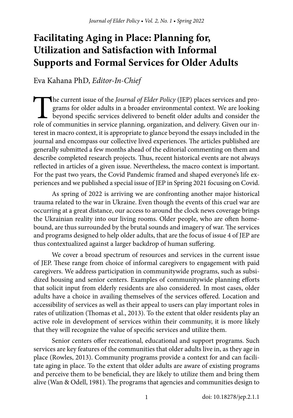# **Facilitating Aging in Place: Planning for, Utilization and Satisfaction with Informal Supports and Formal Services for Older Adults**

Eva Kahana PhD, *Editor-In-Chief*

The current issue of the *Journal of Elder Policy* (JEP) places services and programs for older adults in a broader environmental context. We are looking beyond specific services delivered to benefit older adults and consider the role of communities in service planning, organization, and delivery. Given our interest in macro context, it is appropriate to glance beyond the essays included in the journal and encompass our collective lived experiences. The articles published are generally submitted a few months ahead of the editorial commenting on them and describe completed research projects. Thus, recent historical events are not always reflected in articles of a given issue. Nevertheless, the macro context is important. For the past two years, the Covid Pandemic framed and shaped everyone's life experiences and we published a special issue of JEP in Spring 2021 focusing on Covid.

As spring of 2022 is arriving we are confronting another major historical trauma related to the war in Ukraine. Even though the events of this cruel war are occurring at a great distance, our access to around the clock news coverage brings the Ukrainian reality into our living rooms. Older people, who are often homebound, are thus surrounded by the brutal sounds and imagery of war. The services and programs designed to help older adults, that are the focus of issue 4 of JEP are thus contextualized against a larger backdrop of human suffering.

We cover a broad spectrum of resources and services in the current issue of JEP. These range from choice of informal caregivers to engagement with paid caregivers. We address participation in communitywide programs, such as subsidized housing and senior centers. Examples of communitywide planning efforts that solicit input from elderly residents are also considered. In most cases, older adults have a choice in availing themselves of the services offered. Location and accessibility of services as well as their appeal to users can play important roles in rates of utilization (Thomas et al., 2013). To the extent that older residents play an active role in development of services within their community, it is more likely that they will recognize the value of specific services and utilize them.

Senior centers offer recreational, educational and support programs. Such services are key features of the communities that older adults live in, as they age in place (Rowles, 2013). Community programs provide a context for and can facilitate aging in place. To the extent that older adults are aware of existing programs and perceive them to be beneficial, they are likely to utilize them and bring them alive (Wan & Odell, 1981). The programs that agencies and communities design to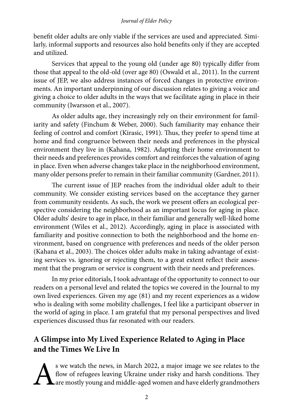benefit older adults are only viable if the services are used and appreciated. Similarly, informal supports and resources also hold benefits only if they are accepted and utilized.

Services that appeal to the young old (under age 80) typically differ from those that appeal to the old-old (over age 80) (Oswald et al., 2011). In the current issue of JEP, we also address instances of forced changes in protective environments. An important underpinning of our discussion relates to giving a voice and giving a choice to older adults in the ways that we facilitate aging in place in their community (Iwarsson et al., 2007).

As older adults age, they increasingly rely on their environment for familiarity and safety (Finchum & Weber, 2000). Such familiarity may enhance their feeling of control and comfort (Kirasic, 1991). Thus, they prefer to spend time at home and find congruence between their needs and preferences in the physical environment they live in (Kahana, 1982). Adapting their home environment to their needs and preferences provides comfort and reinforces the valuation of aging in place. Even when adverse changes take place in the neighborhood environment, many older persons prefer to remain in their familiar community (Gardner, 2011).

The current issue of JEP reaches from the individual older adult to their community. We consider existing services based on the acceptance they garner from community residents. As such, the work we present offers an ecological perspective considering the neighborhood as an important locus for aging in place. Older adults' desire to age in place, in their familiar and generally well-liked home environment (Wiles et al., 2012). Accordingly, aging in place is associated with familiarity and positive connection to both the neighborhood and the home environment, based on congruence with preferences and needs of the older person (Kahana et al., 2003). The choices older adults make in taking advantage of existing services vs. ignoring or rejecting them, to a great extent reflect their assessment that the program or service is congruent with their needs and preferences.

In my prior editorials, I took advantage of the opportunity to connect to our readers on a personal level and related the topics we covered in the Journal to my own lived experiences. Given my age (81) and my recent experiences as a widow who is dealing with some mobility challenges, I feel like a participant observer in the world of aging in place. I am grateful that my personal perspectives and lived experiences discussed thus far resonated with our readers.

## **A Glimpse into My Lived Experience Related to Aging in Place and the Times We Live In**

S we watch the news, in March 2022, a major image we see relates to the flow of refugees leaving Ukraine under risky and harsh conditions. They are mostly young and middle-aged women and have elderly grandmothers flow of refugees leaving Ukraine under risky and harsh conditions. They are mostly young and middle-aged women and have elderly grandmothers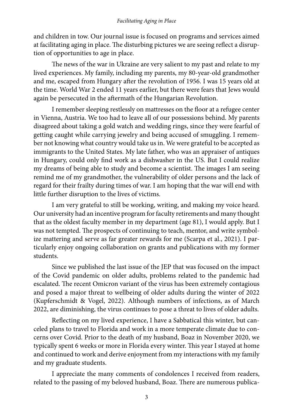and children in tow. Our journal issue is focused on programs and services aimed at facilitating aging in place. The disturbing pictures we are seeing reflect a disruption of opportunities to age in place.

The news of the war in Ukraine are very salient to my past and relate to my lived experiences. My family, including my parents, my 80-year-old grandmother and me, escaped from Hungary after the revolution of 1956. I was 15 years old at the time. World War 2 ended 11 years earlier, but there were fears that Jews would again be persecuted in the aftermath of the Hungarian Revolution.

I remember sleeping restlessly on mattresses on the floor at a refugee center in Vienna, Austria. We too had to leave all of our possessions behind. My parents disagreed about taking a gold watch and wedding rings, since they were fearful of getting caught while carrying jewelry and being accused of smuggling. I remember not knowing what country would take us in. We were grateful to be accepted as immigrants to the United States. My late father, who was an appraiser of antiques in Hungary, could only find work as a dishwasher in the US. But I could realize my dreams of being able to study and become a scientist. The images I am seeing remind me of my grandmother, the vulnerability of older persons and the lack of regard for their frailty during times of war. I am hoping that the war will end with little further disruption to the lives of victims.

I am very grateful to still be working, writing, and making my voice heard. Our university had an incentive program for faculty retirements and many thought that as the oldest faculty member in my department (age 81), I would apply. But I was not tempted. The prospects of continuing to teach, mentor, and write symbolize mattering and serve as far greater rewards for me (Scarpa et al., 2021). I particularly enjoy ongoing collaboration on grants and publications with my former students.

Since we published the last issue of the JEP that was focused on the impact of the Covid pandemic on older adults, problems related to the pandemic had escalated. The recent Omicron variant of the virus has been extremely contagious and posed a major threat to wellbeing of older adults during the winter of 2022 (Kupferschmidt & Vogel, 2022). Although numbers of infections, as of March 2022, are diminishing, the virus continues to pose a threat to lives of older adults.

Reflecting on my lived experience, I have a Sabbatical this winter, but canceled plans to travel to Florida and work in a more temperate climate due to concerns over Covid. Prior to the death of my husband, Boaz in November 2020, we typically spent 6 weeks or more in Florida every winter. This year I stayed at home and continued to work and derive enjoyment from my interactions with my family and my graduate students.

I appreciate the many comments of condolences I received from readers, related to the passing of my beloved husband, Boaz. There are numerous publica-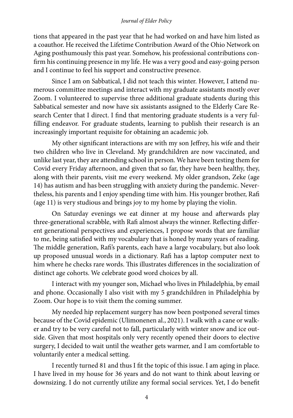tions that appeared in the past year that he had worked on and have him listed as a coauthor. He received the Lifetime Contribution Award of the Ohio Network on Aging posthumously this past year. Somehow, his professional contributions confirm his continuing presence in my life. He was a very good and easy-going person and I continue to feel his support and constructive presence.

Since I am on Sabbatical, I did not teach this winter. However, I attend numerous committee meetings and interact with my graduate assistants mostly over Zoom. I volunteered to supervise three additional graduate students during this Sabbatical semester and now have six assistants assigned to the Elderly Care Research Center that I direct. I find that mentoring graduate students is a very fulfilling endeavor. For graduate students, learning to publish their research is an increasingly important requisite for obtaining an academic job.

My other significant interactions are with my son Jeffrey, his wife and their two children who live in Cleveland. My grandchildren are now vaccinated, and unlike last year, they are attending school in person. We have been testing them for Covid every Friday afternoon, and given that so far, they have been healthy, they, along with their parents, visit me every weekend. My older grandson, Zeke (age 14) has autism and has been struggling with anxiety during the pandemic. Nevertheless, his parents and I enjoy spending time with him. His younger brother, Rafi (age 11) is very studious and brings joy to my home by playing the violin.

On Saturday evenings we eat dinner at my house and afterwards play three-generational scrabble, with Rafi almost always the winner. Reflecting different generational perspectives and experiences, I propose words that are familiar to me, being satisfied with my vocabulary that is honed by many years of reading. The middle generation, Rafi's parents, each have a large vocabulary, but also look up proposed unusual words in a dictionary. Rafi has a laptop computer next to him where he checks rare words. This illustrates differences in the socialization of distinct age cohorts. We celebrate good word choices by all.

I interact with my younger son, Michael who lives in Philadelphia, by email and phone. Occasionally I also visit with my 5 grandchildren in Philadelphia by Zoom. Our hope is to visit them the coming summer.

My needed hip replacement surgery has now been postponed several times because of the Covid epidemic (Ulimonenen al., 2021). I walk with a cane or walker and try to be very careful not to fall, particularly with winter snow and ice outside. Given that most hospitals only very recently opened their doors to elective surgery, I decided to wait until the weather gets warmer, and I am comfortable to voluntarily enter a medical setting.

I recently turned 81 and thus I fit the topic of this issue. I am aging in place. I have lived in my house for 36 years and do not want to think about leaving or downsizing. I do not currently utilize any formal social services. Yet, I do benefit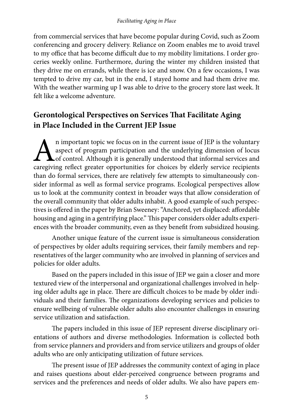from commercial services that have become popular during Covid, such as Zoom conferencing and grocery delivery. Reliance on Zoom enables me to avoid travel to my office that has become difficult due to my mobility limitations. I order groceries weekly online. Furthermore, during the winter my children insisted that they drive me on errands, while there is ice and snow. On a few occasions, I was tempted to drive my car, but in the end, I stayed home and had them drive me. With the weather warming up I was able to drive to the grocery store last week. It felt like a welcome adventure.

### **Gerontological Perspectives on Services That Facilitate Aging in Place Included in the Current JEP Issue**

An important topic we focus on in the current issue of JEP is the voluntary aspect of program participation and the underlying dimension of locus of control. Although it is generally understood that informal services and c aspect of program participation and the underlying dimension of locus of control. Although it is generally understood that informal services and caregiving reflect greater opportunities for choices by elderly service recipients than do formal services, there are relatively few attempts to simultaneously consider informal as well as formal service programs. Ecological perspectives allow us to look at the community context in broader ways that allow consideration of the overall community that older adults inhabit. A good example of such perspectives is offered in the paper by Brian Sweeney: "Anchored, yet displaced: affordable housing and aging in a gentrifying place." This paper considers older adults experiences with the broader community, even as they benefit from subsidized housing.

Another unique feature of the current issue is simultaneous consideration of perspectives by older adults requiring services, their family members and representatives of the larger community who are involved in planning of services and policies for older adults.

Based on the papers included in this issue of JEP we gain a closer and more textured view of the interpersonal and organizational challenges involved in helping older adults age in place. There are difficult choices to be made by older individuals and their families. The organizations developing services and policies to ensure wellbeing of vulnerable older adults also encounter challenges in ensuring service utilization and satisfaction.

The papers included in this issue of JEP represent diverse disciplinary orientations of authors and diverse methodologies. Information is collected both from service planners and providers and from service utilizers and groups of older adults who are only anticipating utilization of future services.

The present issue of JEP addresses the community context of aging in place and raises questions about elder-perceived congruence between programs and services and the preferences and needs of older adults. We also have papers em-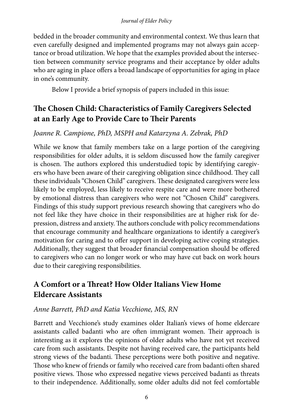bedded in the broader community and environmental context. We thus learn that even carefully designed and implemented programs may not always gain acceptance or broad utilization. We hope that the examples provided about the intersection between community service programs and their acceptance by older adults who are aging in place offers a broad landscape of opportunities for aging in place in one's community.

Below I provide a brief synopsis of papers included in this issue:

## **The Chosen Child: Characteristics of Family Caregivers Selected at an Early Age to Provide Care to Their Parents**

### *Joanne R. Campione, PhD, MSPH and Katarzyna A. Zebrak, PhD*

While we know that family members take on a large portion of the caregiving responsibilities for older adults, it is seldom discussed how the family caregiver is chosen. The authors explored this understudied topic by identifying caregivers who have been aware of their caregiving obligation since childhood. They call these individuals "Chosen Child" caregivers. These designated caregivers were less likely to be employed, less likely to receive respite care and were more bothered by emotional distress than caregivers who were not "Chosen Child" caregivers. Findings of this study support previous research showing that caregivers who do not feel like they have choice in their responsibilities are at higher risk for depression, distress and anxiety. The authors conclude with policy recommendations that encourage community and healthcare organizations to identify a caregiver's motivation for caring and to offer support in developing active coping strategies. Additionally, they suggest that broader financial compensation should be offered to caregivers who can no longer work or who may have cut back on work hours due to their caregiving responsibilities.

## **A Comfort or a Threat? How Older Italians View Home Eldercare Assistants**

### *Anne Barrett, PhD and Katia Vecchione, MS, RN*

Barrett and Vecchione's study examines older Italian's views of home eldercare assistants called badanti who are often immigrant women. Their approach is interesting as it explores the opinions of older adults who have not yet received care from such assistants. Despite not having received care, the participants held strong views of the badanti. These perceptions were both positive and negative. Those who knew of friends or family who received care from badanti often shared positive views. Those who expressed negative views perceived badanti as threats to their independence. Additionally, some older adults did not feel comfortable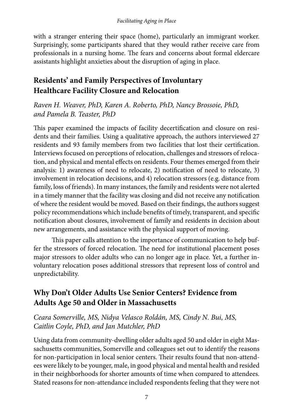with a stranger entering their space (home), particularly an immigrant worker. Surprisingly, some participants shared that they would rather receive care from professionals in a nursing home. The fears and concerns about formal eldercare assistants highlight anxieties about the disruption of aging in place.

## **Residents' and Family Perspectives of Involuntary Healthcare Facility Closure and Relocation**

*Raven H. Weaver, PhD, Karen A. Roberto, PhD, Nancy Brossoie, PhD, and Pamela B. Teaster, PhD*

This paper examined the impacts of facility decertification and closure on residents and their families. Using a qualitative approach, the authors interviewed 27 residents and 93 family members from two facilities that lost their certification. Interviews focused on perceptions of relocation, challenges and stressors of relocation, and physical and mental effects on residents. Four themes emerged from their analysis: 1) awareness of need to relocate, 2) notification of need to relocate, 3) involvement in relocation decisions, and 4) relocation stressors (e.g. distance from family, loss of friends). In many instances, the family and residents were not alerted in a timely manner that the facility was closing and did not receive any notification of where the resident would be moved. Based on their findings, the authors suggest policy recommendations which include benefits of timely, transparent, and specific notification about closures, involvement of family and residents in decision about new arrangements, and assistance with the physical support of moving.

This paper calls attention to the importance of communication to help buffer the stressors of forced relocation. The need for institutional placement poses major stressors to older adults who can no longer age in place. Yet, a further involuntary relocation poses additional stressors that represent loss of control and unpredictability.

## **Why Don't Older Adults Use Senior Centers? Evidence from Adults Age 50 and Older in Massachusetts**

*Ceara Somerville, MS, Nidya Velasco Roldán, MS, Cindy N. Bui, MS, Caitlin Coyle, PhD, and Jan Mutchler, PhD*

Using data from community-dwelling older adults aged 50 and older in eight Massachusetts communities, Somerville and colleagues set out to identify the reasons for non-participation in local senior centers. Their results found that non-attendees were likely to be younger, male, in good physical and mental health and resided in their neighborhoods for shorter amounts of time when compared to attendees. Stated reasons for non-attendance included respondents feeling that they were not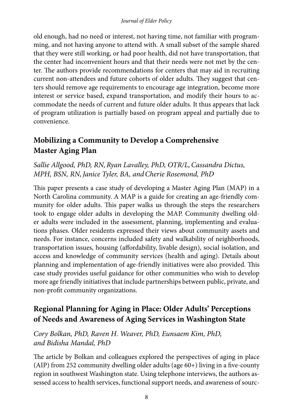old enough, had no need or interest, not having time, not familiar with programming, and not having anyone to attend with. A small subset of the sample shared that they were still working, or had poor health, did not have transportation, that the center had inconvenient hours and that their needs were not met by the center. The authors provide recommendations for centers that may aid in recruiting current non-attendees and future cohorts of older adults. They suggest that centers should remove age requirements to encourage age integration, become more interest or service based, expand transportation, and modify their hours to accommodate the needs of current and future older adults. It thus appears that lack of program utilization is partially based on program appeal and partially due to convenience.

## **Mobilizing a Community to Develop a Comprehensive Master Aging Plan**

### *Sallie Allgood, PhD, RN,Ryan Lavalley, PhD, OTR/L,Cassandra Dictus, MPH, BSN, RN,Janice Tyler, BA, andCherie Rosemond, PhD*

This paper presents a case study of developing a Master Aging Plan (MAP) in a North Carolina community. A MAP is a guide for creating an age-friendly community for older adults. This paper walks us through the steps the researchers took to engage older adults in developing the MAP. Community dwelling older adults were included in the assessment, planning, implementing and evaluations phases. Older residents expressed their views about community assets and needs. For instance, concerns included safety and walkability of neighborhoods, transportation issues, housing (affordability, livable design), social isolation, and access and knowledge of community services (health and aging). Details about planning and implementation of age-friendly initiatives were also provided. This case study provides useful guidance for other communities who wish to develop more age friendly initiatives that include partnerships between public, private, and non-profit community organizations.

## **Regional Planning for Aging in Place: Older Adults' Perceptions of Needs and Awareness of Aging Services in Washington State**

### *Cory Bolkan, PhD, Raven H. Weaver, PhD, Eunsaem Kim, PhD, and Bidisha Mandal, PhD*

The article by Bolkan and colleagues explored the perspectives of aging in place (AIP) from 252 community dwelling older adults (age 60+) living in a five-county region in southwest Washington state. Using telephone interviews, the authors assessed access to health services, functional support needs, and awareness of sourc-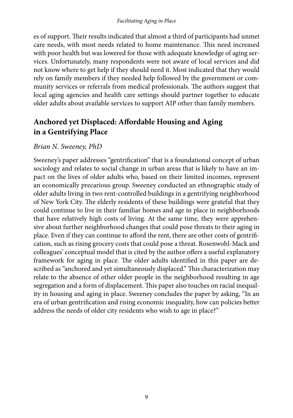es of support. Their results indicated that almost a third of participants had unmet care needs, with most needs related to home maintenance. This need increased with poor health but was lowered for those with adequate knowledge of aging services. Unfortunately, many respondents were not aware of local services and did not know where to get help if they should need it. Most indicated that they would rely on family members if they needed help followed by the government or community services or referrals from medical professionals. The authors suggest that local aging agencies and health care settings should partner together to educate older adults about available services to support AIP other than family members.

### **Anchored yet Displaced: Affordable Housing and Aging in a Gentrifying Place**

### *Brian N. Sweeney, PhD*

Sweeney's paper addresses "gentrification" that is a foundational concept of urban sociology and relates to social change in urban areas that is likely to have an impact on the lives of older adults who, based on their limited incomes, represent an economically precarious group. Sweeney conducted an ethnographic study of older adults living in two rent-controlled buildings in a gentrifying neighborhood of New York City. The elderly residents of these buildings were grateful that they could continue to live in their familiar homes and age in place in neighborhoods that have relatively high costs of living. At the same time, they were apprehensive about further neighborhood changes that could pose threats to their aging in place. Even if they can continue to afford the rent, there are other costs of gentrification, such as rising grocery costs that could pose a threat. Rosenwohl-Mack and colleagues' conceptual model that is cited by the author offers a useful explanatory framework for aging in place. The older adults identified in this paper are described as "anchored and yet simultaneously displaced." This characterization may relate to the absence of other older people in the neighborhood resulting in age segregation and a form of displacement. This paper also touches on racial inequality in housing and aging in place. Sweeney concludes the paper by asking, "In an era of urban gentrification and rising economic inequality, how can policies better address the needs of older city residents who wish to age in place?"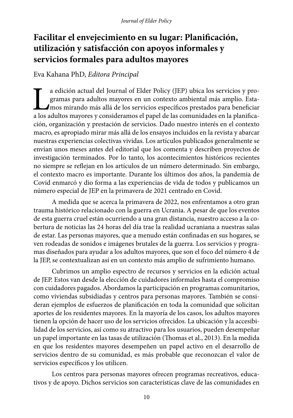# **Facilitar el envejecimiento en su lugar: Planificación, utilización y satisfacción con apoyos informales y servicios formales para adultos mayores**

### Eva Kahana PhD, *Editora Principal*

a edición actual del Journal of Elder Policy (JEP) ubica los servicios y programas para adultos mayores en un contexto ambiental más amplio. Esta-<br>mos mirando más allá de los servicios específicos prestados para beneficiar gramas para adultos mayores en un contexto ambiental más amplio. Estamos mirando más allá de los servicios específicos prestados para beneficiar a los adultos mayores y consideramos el papel de las comunidades en la planificación, organización y prestación de servicios. Dado nuestro interés en el contexto macro, es apropiado mirar más allá de los ensayos incluidos en la revista y abarcar nuestras experiencias colectivas vividas. Los artículos publicados generalmente se envían unos meses antes del editorial que los comenta y describen proyectos de investigación terminados. Por lo tanto, los acontecimientos históricos recientes no siempre se reflejan en los artículos de un número determinado. Sin embargo, el contexto macro es importante. Durante los últimos dos años, la pandemia de Covid enmarcó y dio forma a las experiencias de vida de todos y publicamos un número especial de JEP en la primavera de 2021 centrado en Covid.

A medida que se acerca la primavera de 2022, nos enfrentamos a otro gran trauma histórico relacionado con la guerra en Ucrania. A pesar de que los eventos de esta guerra cruel están ocurriendo a una gran distancia, nuestro acceso a la cobertura de noticias las 24 horas del día trae la realidad ucraniana a nuestras salas de estar. Las personas mayores, que a menudo están confinadas en sus hogares, se ven rodeadas de sonidos e imágenes brutales de la guerra. Los servicios y programas diseñados para ayudar a los adultos mayores, que son el foco del número 4 de la JEP, se contextualizan así en un contexto más amplio de sufrimiento humano.

Cubrimos un amplio espectro de recursos y servicios en la edición actual de JEP. Estos van desde la elección de cuidadores informales hasta el compromiso con cuidadores pagados. Abordamos la participación en programas comunitarios, como viviendas subsidiadas y centros para personas mayores. También se consideran ejemplos de esfuerzos de planificación en toda la comunidad que solicitan aportes de los residentes mayores. En la mayoría de los casos, los adultos mayores tienen la opción de hacer uso de los servicios ofrecidos. La ubicación y la accesibilidad de los servicios, así como su atractivo para los usuarios, pueden desempeñar un papel importante en las tasas de utilización (Thomas et al., 2013). En la medida en que los residentes mayores desempeñen un papel activo en el desarrollo de servicios dentro de su comunidad, es más probable que reconozcan el valor de servicios específicos y los utilicen.

Los centros para personas mayores ofrecen programas recreativos, educativos y de apoyo. Dichos servicios son características clave de las comunidades en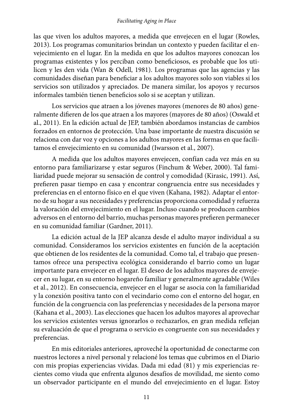las que viven los adultos mayores, a medida que envejecen en el lugar (Rowles, 2013). Los programas comunitarios brindan un contexto y pueden facilitar el envejecimiento en el lugar. En la medida en que los adultos mayores conozcan los programas existentes y los perciban como beneficiosos, es probable que los utilicen y les den vida (Wan & Odell, 1981). Los programas que las agencias y las comunidades diseñan para beneficiar a los adultos mayores solo son viables si los servicios son utilizados y apreciados. De manera similar, los apoyos y recursos informales también tienen beneficios solo si se aceptan y utilizan.

Los servicios que atraen a los jóvenes mayores (menores de 80 años) generalmente difieren de los que atraen a los mayores (mayores de 80 años) (Oswald et al., 2011). En la edición actual de JEP, también abordamos instancias de cambios forzados en entornos de protección. Una base importante de nuestra discusión se relaciona con dar voz y opciones a los adultos mayores en las formas en que facilitamos el envejecimiento en su comunidad (Iwarsson et al., 2007).

A medida que los adultos mayores envejecen, confían cada vez más en su entorno para familiarizarse y estar seguros (Finchum & Weber, 2000). Tal familiaridad puede mejorar su sensación de control y comodidad (Kirasic, 1991). Así, prefieren pasar tiempo en casa y encontrar congruencia entre sus necesidades y preferencias en el entorno físico en el que viven (Kahana, 1982). Adaptar el entorno de su hogar a sus necesidades y preferencias proporciona comodidad y refuerza la valoración del envejecimiento en el lugar. Incluso cuando se producen cambios adversos en el entorno del barrio, muchas personas mayores prefieren permanecer en su comunidad familiar (Gardner, 2011).

La edición actual de la JEP alcanza desde el adulto mayor individual a su comunidad. Consideramos los servicios existentes en función de la aceptación que obtienen de los residentes de la comunidad. Como tal, el trabajo que presentamos ofrece una perspectiva ecológica considerando el barrio como un lugar importante para envejecer en el lugar. El deseo de los adultos mayores de envejecer en su lugar, en su entorno hogareño familiar y generalmente agradable (Wiles et al., 2012). En consecuencia, envejecer en el lugar se asocia con la familiaridad y la conexión positiva tanto con el vecindario como con el entorno del hogar, en función de la congruencia con las preferencias y necesidades de la persona mayor (Kahana et al., 2003). Las elecciones que hacen los adultos mayores al aprovechar los servicios existentes versus ignorarlos o rechazarlos, en gran medida reflejan su evaluación de que el programa o servicio es congruente con sus necesidades y preferencias.

En mis editoriales anteriores, aproveché la oportunidad de conectarme con nuestros lectores a nivel personal y relacioné los temas que cubrimos en el Diario con mis propias experiencias vividas. Dada mi edad (81) y mis experiencias recientes como viuda que enfrenta algunos desafíos de movilidad, me siento como un observador participante en el mundo del envejecimiento en el lugar. Estoy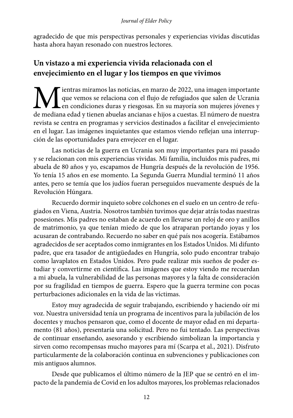agradecido de que mis perspectivas personales y experiencias vividas discutidas hasta ahora hayan resonado con nuestros lectores.

## **Un vistazo a mi experiencia vivida relacionada con el envejecimiento en el lugar y los tiempos en que vivimos**

**M**ientras miramos las noticias, en marzo de 2022, una imagen importante que vemos se relaciona con el flujo de refugiados que salen de Ucrania en condiciones duras y riesgosas. En su mayoría son mujeres jóvenes y de media que vemos se relaciona con el flujo de refugiados que salen de Ucrania en condiciones duras y riesgosas. En su mayoría son mujeres jóvenes y de mediana edad y tienen abuelas ancianas e hijos a cuestas. El número de nuestra revista se centra en programas y servicios destinados a facilitar el envejecimiento en el lugar. Las imágenes inquietantes que estamos viendo reflejan una interrupción de las oportunidades para envejecer en el lugar.

Las noticias de la guerra en Ucrania son muy importantes para mi pasado y se relacionan con mis experiencias vividas. Mi familia, incluidos mis padres, mi abuela de 80 años y yo, escapamos de Hungría después de la revolución de 1956. Yo tenía 15 años en ese momento. La Segunda Guerra Mundial terminó 11 años antes, pero se temía que los judíos fueran perseguidos nuevamente después de la Revolución Húngara.

Recuerdo dormir inquieto sobre colchones en el suelo en un centro de refugiados en Viena, Austria. Nosotros también tuvimos que dejar atrás todas nuestras posesiones. Mis padres no estaban de acuerdo en llevarse un reloj de oro y anillos de matrimonio, ya que tenían miedo de que los atraparan portando joyas y los acusaran de contrabando. Recuerdo no saber en qué país nos acogería. Estábamos agradecidos de ser aceptados como inmigrantes en los Estados Unidos. Mi difunto padre, que era tasador de antigüedades en Hungría, solo pudo encontrar trabajo como lavaplatos en Estados Unidos. Pero pude realizar mis sueños de poder estudiar y convertirme en científica. Las imágenes que estoy viendo me recuerdan a mi abuela, la vulnerabilidad de las personas mayores y la falta de consideración por su fragilidad en tiempos de guerra. Espero que la guerra termine con pocas perturbaciones adicionales en la vida de las víctimas.

Estoy muy agradecida de seguir trabajando, escribiendo y haciendo oír mi voz. Nuestra universidad tenía un programa de incentivos para la jubilación de los docentes y muchos pensaron que, como el docente de mayor edad en mi departamento (81 años), presentaría una solicitud. Pero no fui tentado. Las perspectivas de continuar enseñando, asesorando y escribiendo simbolizan la importancia y sirven como recompensas mucho mayores para mí (Scarpa et al., 2021). Disfruto particularmente de la colaboración continua en subvenciones y publicaciones con mis antiguos alumnos.

Desde que publicamos el último número de la JEP que se centró en el impacto de la pandemia de Covid en los adultos mayores, los problemas relacionados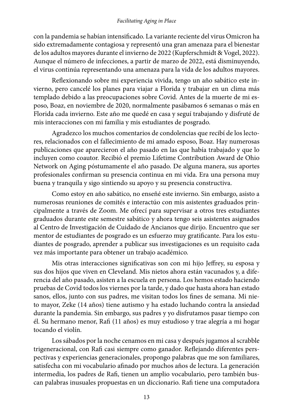con la pandemia se habían intensificado. La variante reciente del virus Omicron ha sido extremadamente contagiosa y representó una gran amenaza para el bienestar de los adultos mayores durante el invierno de 2022 (Kupferschmidt & Vogel, 2022). Aunque el número de infecciones, a partir de marzo de 2022, está disminuyendo, el virus continúa representando una amenaza para la vida de los adultos mayores.

Reflexionando sobre mi experiencia vivida, tengo un año sabático este invierno, pero cancelé los planes para viajar a Florida y trabajar en un clima más templado debido a las preocupaciones sobre Covid. Antes de la muerte de mi esposo, Boaz, en noviembre de 2020, normalmente pasábamos 6 semanas o más en Florida cada invierno. Este año me quedé en casa y seguí trabajando y disfruté de mis interacciones con mi familia y mis estudiantes de posgrado.

Agradezco los muchos comentarios de condolencias que recibí de los lectores, relacionados con el fallecimiento de mi amado esposo, Boaz. Hay numerosas publicaciones que aparecieron el año pasado en las que había trabajado y que lo incluyen como coautor. Recibió el premio Lifetime Contribution Award de Ohio Network on Aging póstumamente el año pasado. De alguna manera, sus aportes profesionales confirman su presencia continua en mi vida. Era una persona muy buena y tranquila y sigo sintiendo su apoyo y su presencia constructiva.

Como estoy en año sabático, no enseñé este invierno. Sin embargo, asisto a numerosas reuniones de comités e interactúo con mis asistentes graduados principalmente a través de Zoom. Me ofrecí para supervisar a otros tres estudiantes graduados durante este semestre sabático y ahora tengo seis asistentes asignados al Centro de Investigación de Cuidado de Ancianos que dirijo. Encuentro que ser mentor de estudiantes de posgrado es un esfuerzo muy gratificante. Para los estudiantes de posgrado, aprender a publicar sus investigaciones es un requisito cada vez más importante para obtener un trabajo académico.

Mis otras interacciones significativas son con mi hijo Jeffrey, su esposa y sus dos hijos que viven en Cleveland. Mis nietos ahora están vacunados y, a diferencia del año pasado, asisten a la escuela en persona. Los hemos estado haciendo pruebas de Covid todos los viernes por la tarde, y dado que hasta ahora han estado sanos, ellos, junto con sus padres, me visitan todos los fines de semana. Mi nieto mayor, Zeke (14 años) tiene autismo y ha estado luchando contra la ansiedad durante la pandemia. Sin embargo, sus padres y yo disfrutamos pasar tiempo con él. Su hermano menor, Rafi (11 años) es muy estudioso y trae alegría a mi hogar tocando el violín.

Los sábados por la noche cenamos en mi casa y después jugamos al scrabble trigeneracional, con Rafi casi siempre como ganador. Reflejando diferentes perspectivas y experiencias generacionales, propongo palabras que me son familiares, satisfecha con mi vocabulario afinado por muchos años de lectura. La generación intermedia, los padres de Rafi, tienen un amplio vocabulario, pero también buscan palabras inusuales propuestas en un diccionario. Rafi tiene una computadora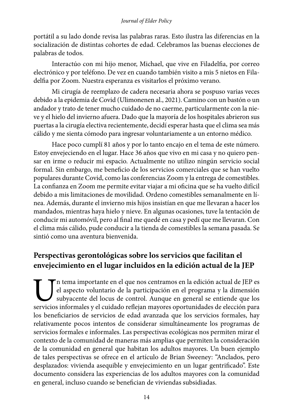portátil a su lado donde revisa las palabras raras. Esto ilustra las diferencias en la socialización de distintas cohortes de edad. Celebramos las buenas elecciones de palabras de todos.

Interactúo con mi hijo menor, Michael, que vive en Filadelfia, por correo electrónico y por teléfono. De vez en cuando también visito a mis 5 nietos en Filadelfia por Zoom. Nuestra esperanza es visitarlos el próximo verano.

Mi cirugía de reemplazo de cadera necesaria ahora se pospuso varias veces debido a la epidemia de Covid (Ulimonenen al., 2021). Camino con un bastón o un andador y trato de tener mucho cuidado de no caerme, particularmente con la nieve y el hielo del invierno afuera. Dado que la mayoría de los hospitales abrieron sus puertas a la cirugía electiva recientemente, decidí esperar hasta que el clima sea más cálido y me sienta cómodo para ingresar voluntariamente a un entorno médico.

Hace poco cumplí 81 años y por lo tanto encajo en el tema de este número. Estoy envejeciendo en el lugar. Hace 36 años que vivo en mi casa y no quiero pensar en irme o reducir mi espacio. Actualmente no utilizo ningún servicio social formal. Sin embargo, me beneficio de los servicios comerciales que se han vuelto populares durante Covid, como las conferencias Zoom y la entrega de comestibles. La confianza en Zoom me permite evitar viajar a mi oficina que se ha vuelto difícil debido a mis limitaciones de movilidad. Ordeno comestibles semanalmente en línea. Además, durante el invierno mis hijos insistían en que me llevaran a hacer los mandados, mientras haya hielo y nieve. En algunas ocasiones, tuve la tentación de conducir mi automóvil, pero al final me quedé en casa y pedí que me llevaran. Con el clima más cálido, pude conducir a la tienda de comestibles la semana pasada. Se sintió como una aventura bienvenida.

## **Perspectivas gerontológicas sobre los servicios que facilitan el envejecimiento en el lugar incluidos en la edición actual de la JEP**

In tema importante en el que nos centramos en la edición actual de JEP es el aspecto voluntario de la participación en el programa y la dimensión subyacente del locus de control. Aunque en general se entiende que los servicios informales y el cuidado reflejan mayores oportunidades de elección para los beneficiarios de servicios de edad avanzada que los servicios formales, hay relativamente pocos intentos de considerar simultáneamente los programas de servicios formales e informales. Las perspectivas ecológicas nos permiten mirar el contexto de la comunidad de maneras más amplias que permiten la consideración de la comunidad en general que habitan los adultos mayores. Un buen ejemplo de tales perspectivas se ofrece en el artículo de Brian Sweeney: "Anclados, pero desplazados: vivienda asequible y envejecimiento en un lugar gentrificado". Este documento considera las experiencias de los adultos mayores con la comunidad en general, incluso cuando se benefician de viviendas subsidiadas.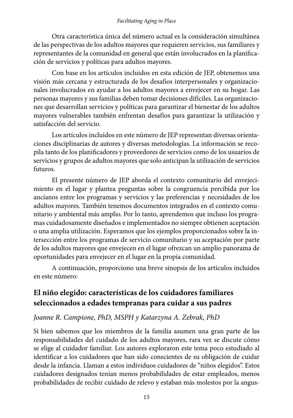Otra característica única del número actual es la consideración simultánea de las perspectivas de los adultos mayores que requieren servicios, sus familiares y representantes de la comunidad en general que están involucrados en la planificación de servicios y políticas para adultos mayores.

Con base en los artículos incluidos en esta edición de JEP, obtenemos una visión más cercana y estructurada de los desafíos interpersonales y organizacionales involucrados en ayudar a los adultos mayores a envejecer en su hogar. Las personas mayores y sus familias deben tomar decisiones difíciles. Las organizaciones que desarrollan servicios y políticas para garantizar el bienestar de los adultos mayores vulnerables también enfrentan desafíos para garantizar la utilización y satisfacción del servicio.

Los artículos incluidos en este número de JEP representan diversas orientaciones disciplinarias de autores y diversas metodologías. La información se recopila tanto de los planificadores y proveedores de servicios como de los usuarios de servicios y grupos de adultos mayores que solo anticipan la utilización de servicios futuros.

El presente número de JEP aborda el contexto comunitario del envejecimiento en el lugar y plantea preguntas sobre la congruencia percibida por los ancianos entre los programas y servicios y las preferencias y necesidades de los adultos mayores. También tenemos documentos integrados en el contexto comunitario y ambiental más amplio. Por lo tanto, aprendemos que incluso los programas cuidadosamente diseñados e implementados no siempre obtienen aceptación o una amplia utilización. Esperamos que los ejemplos proporcionados sobre la intersección entre los programas de servicio comunitario y su aceptación por parte de los adultos mayores que envejecen en el lugar ofrezcan un amplio panorama de oportunidades para envejecer en el lugar en la propia comunidad.

A continuación, proporciono una breve sinopsis de los artículos incluidos en este número:

### **El niño elegido: características de los cuidadores familiares seleccionados a edades tempranas para cuidar a sus padres**

### *Joanne R. Campione, PhD, MSPH y Katarzyna A. Zebrak, PhD*

Si bien sabemos que los miembros de la familia asumen una gran parte de las responsabilidades del cuidado de los adultos mayores, rara vez se discute cómo se elige al cuidador familiar. Los autores exploraron este tema poco estudiado al identificar a los cuidadores que han sido conscientes de su obligación de cuidar desde la infancia. Llaman a estos individuos cuidadores de "niños elegidos". Estos cuidadores designados tenían menos probabilidades de estar empleados, menos probabilidades de recibir cuidado de relevo y estaban más molestos por la angus-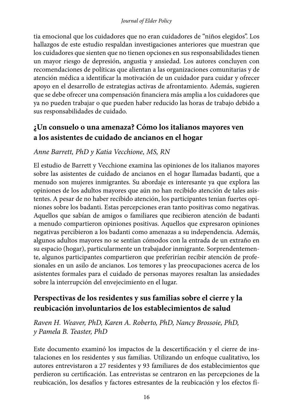tia emocional que los cuidadores que no eran cuidadores de "niños elegidos". Los hallazgos de este estudio respaldan investigaciones anteriores que muestran que los cuidadores que sienten que no tienen opciones en sus responsabilidades tienen un mayor riesgo de depresión, angustia y ansiedad. Los autores concluyen con recomendaciones de políticas que alientan a las organizaciones comunitarias y de atención médica a identificar la motivación de un cuidador para cuidar y ofrecer apoyo en el desarrollo de estrategias activas de afrontamiento. Además, sugieren que se debe ofrecer una compensación financiera más amplia a los cuidadores que ya no pueden trabajar o que pueden haber reducido las horas de trabajo debido a sus responsabilidades de cuidado.

### **¿Un consuelo o una amenaza? Cómo los italianos mayores ven a los asistentes de cuidado de ancianos en el hogar**

### *Anne Barrett, PhD y Katia Vecchione, MS, RN*

El estudio de Barrett y Vecchione examina las opiniones de los italianos mayores sobre las asistentes de cuidado de ancianos en el hogar llamadas badanti, que a menudo son mujeres inmigrantes. Su abordaje es interesante ya que explora las opiniones de los adultos mayores que aún no han recibido atención de tales asistentes. A pesar de no haber recibido atención, los participantes tenían fuertes opiniones sobre los badanti. Estas percepciones eran tanto positivas como negativas. Aquellos que sabían de amigos o familiares que recibieron atención de badanti a menudo compartieron opiniones positivas. Aquellos que expresaron opiniones negativas percibieron a los badanti como amenazas a su independencia. Además, algunos adultos mayores no se sentían cómodos con la entrada de un extraño en su espacio (hogar), particularmente un trabajador inmigrante. Sorprendentemente, algunos participantes compartieron que preferirían recibir atención de profesionales en un asilo de ancianos. Los temores y las preocupaciones acerca de los asistentes formales para el cuidado de personas mayores resaltan las ansiedades sobre la interrupción del envejecimiento en el lugar.

### **Perspectivas de los residentes y sus familias sobre el cierre y la reubicación involuntarios de los establecimientos de salud**

*Raven H. Weaver, PhD, Karen A. Roberto, PhD, Nancy Brossoie, PhD, y Pamela B. Teaster, PhD*

Este documento examinó los impactos de la descertificación y el cierre de instalaciones en los residentes y sus familias. Utilizando un enfoque cualitativo, los autores entrevistaron a 27 residentes y 93 familiares de dos establecimientos que perdieron su certificación. Las entrevistas se centraron en las percepciones de la reubicación, los desafíos y factores estresantes de la reubicación y los efectos fí-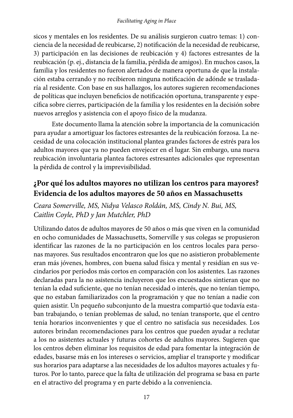sicos y mentales en los residentes. De su análisis surgieron cuatro temas: 1) conciencia de la necesidad de reubicarse, 2) notificación de la necesidad de reubicarse, 3) participación en las decisiones de reubicación y 4) factores estresantes de la reubicación (p. ej., distancia de la familia, pérdida de amigos). En muchos casos, la familia y los residentes no fueron alertados de manera oportuna de que la instalación estaba cerrando y no recibieron ninguna notificación de adónde se trasladaría al residente. Con base en sus hallazgos, los autores sugieren recomendaciones de políticas que incluyen beneficios de notificación oportuna, transparente y específica sobre cierres, participación de la familia y los residentes en la decisión sobre nuevos arreglos y asistencia con el apoyo físico de la mudanza.

Este documento llama la atención sobre la importancia de la comunicación para ayudar a amortiguar los factores estresantes de la reubicación forzosa. La necesidad de una colocación institucional plantea grandes factores de estrés para los adultos mayores que ya no pueden envejecer en el lugar. Sin embargo, una nueva reubicación involuntaria plantea factores estresantes adicionales que representan la pérdida de control y la imprevisibilidad.

### **¿Por qué los adultos mayores no utilizan los centros para mayores? Evidencia de los adultos mayores de 50 años en Massachusetts**

### *Ceara Somerville, MS, Nidya Velasco Roldán, MS, Cindy N. Bui, MS, Caitlin Coyle, PhD y Jan Mutchler, PhD*

Utilizando datos de adultos mayores de 50 años o más que viven en la comunidad en ocho comunidades de Massachusetts, Somerville y sus colegas se propusieron identificar las razones de la no participación en los centros locales para personas mayores. Sus resultados encontraron que los que no asistieron probablemente eran más jóvenes, hombres, con buena salud física y mental y residían en sus vecindarios por períodos más cortos en comparación con los asistentes. Las razones declaradas para la no asistencia incluyeron que los encuestados sintieran que no tenían la edad suficiente, que no tenían necesidad o interés, que no tenían tiempo, que no estaban familiarizados con la programación y que no tenían a nadie con quien asistir. Un pequeño subconjunto de la muestra compartió que todavía estaban trabajando, o tenían problemas de salud, no tenían transporte, que el centro tenía horarios inconvenientes y que el centro no satisfacía sus necesidades. Los autores brindan recomendaciones para los centros que pueden ayudar a reclutar a los no asistentes actuales y futuras cohortes de adultos mayores. Sugieren que los centros deben eliminar los requisitos de edad para fomentar la integración de edades, basarse más en los intereses o servicios, ampliar el transporte y modificar sus horarios para adaptarse a las necesidades de los adultos mayores actuales y futuros. Por lo tanto, parece que la falta de utilización del programa se basa en parte en el atractivo del programa y en parte debido a la conveniencia.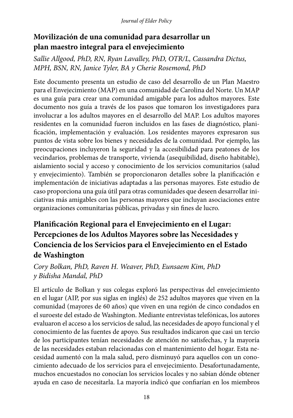## **Movilización de una comunidad para desarrollar un plan maestro integral para el envejecimiento**

*Sallie Allgood, PhD, RN, Ryan Lavalley, PhD, OTR/L, Cassandra Dictus, MPH, BSN, RN, Janice Tyler, BA y Cherie Rosemond, PhD*

Este documento presenta un estudio de caso del desarrollo de un Plan Maestro para el Envejecimiento (MAP) en una comunidad de Carolina del Norte. Un MAP es una guía para crear una comunidad amigable para los adultos mayores. Este documento nos guía a través de los pasos que tomaron los investigadores para involucrar a los adultos mayores en el desarrollo del MAP. Los adultos mayores residentes en la comunidad fueron incluidos en las fases de diagnóstico, planificación, implementación y evaluación. Los residentes mayores expresaron sus puntos de vista sobre los bienes y necesidades de la comunidad. Por ejemplo, las preocupaciones incluyeron la seguridad y la accesibilidad para peatones de los vecindarios, problemas de transporte, vivienda (asequibilidad, diseño habitable), aislamiento social y acceso y conocimiento de los servicios comunitarios (salud y envejecimiento). También se proporcionaron detalles sobre la planificación e implementación de iniciativas adaptadas a las personas mayores. Este estudio de caso proporciona una guía útil para otras comunidades que deseen desarrollar iniciativas más amigables con las personas mayores que incluyan asociaciones entre organizaciones comunitarias públicas, privadas y sin fines de lucro.

## **Planificación Regional para el Envejecimiento en el Lugar: Percepciones de los Adultos Mayores sobre las Necesidades y Conciencia de los Servicios para el Envejecimiento en el Estado de Washington**

### *Cory Bolkan, PhD, Raven H. Weaver, PhD, Eunsaem Kim, PhD y Bidisha Mandal, PhD*

El artículo de Bolkan y sus colegas exploró las perspectivas del envejecimiento en el lugar (AIP, por sus siglas en inglés) de 252 adultos mayores que viven en la comunidad (mayores de 60 años) que viven en una región de cinco condados en el suroeste del estado de Washington. Mediante entrevistas telefónicas, los autores evaluaron el acceso a los servicios de salud, las necesidades de apoyo funcional y el conocimiento de las fuentes de apoyo. Sus resultados indicaron que casi un tercio de los participantes tenían necesidades de atención no satisfechas, y la mayoría de las necesidades estaban relacionadas con el mantenimiento del hogar. Esta necesidad aumentó con la mala salud, pero disminuyó para aquellos con un conocimiento adecuado de los servicios para el envejecimiento. Desafortunadamente, muchos encuestados no conocían los servicios locales y no sabían dónde obtener ayuda en caso de necesitarla. La mayoría indicó que confiarían en los miembros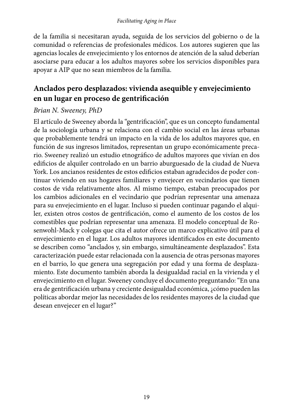de la familia si necesitaran ayuda, seguida de los servicios del gobierno o de la comunidad o referencias de profesionales médicos. Los autores sugieren que las agencias locales de envejecimiento y los entornos de atención de la salud deberían asociarse para educar a los adultos mayores sobre los servicios disponibles para apoyar a AIP que no sean miembros de la familia.

## **Anclados pero desplazados: vivienda asequible y envejecimiento en un lugar en proceso de gentrificación**

### *Brian N. Sweeney, PhD*

El artículo de Sweeney aborda la "gentrificación", que es un concepto fundamental de la sociología urbana y se relaciona con el cambio social en las áreas urbanas que probablemente tendrá un impacto en la vida de los adultos mayores que, en función de sus ingresos limitados, representan un grupo económicamente precario. Sweeney realizó un estudio etnográfico de adultos mayores que vivían en dos edificios de alquiler controlado en un barrio aburguesado de la ciudad de Nueva York. Los ancianos residentes de estos edificios estaban agradecidos de poder continuar viviendo en sus hogares familiares y envejecer en vecindarios que tienen costos de vida relativamente altos. Al mismo tiempo, estaban preocupados por los cambios adicionales en el vecindario que podrían representar una amenaza para su envejecimiento en el lugar. Incluso si pueden continuar pagando el alquiler, existen otros costos de gentrificación, como el aumento de los costos de los comestibles que podrían representar una amenaza. El modelo conceptual de Rosenwohl-Mack y colegas que cita el autor ofrece un marco explicativo útil para el envejecimiento en el lugar. Los adultos mayores identificados en este documento se describen como "anclados y, sin embargo, simultáneamente desplazados". Esta caracterización puede estar relacionada con la ausencia de otras personas mayores en el barrio, lo que genera una segregación por edad y una forma de desplazamiento. Este documento también aborda la desigualdad racial en la vivienda y el envejecimiento en el lugar. Sweeney concluye el documento preguntando: "En una era de gentrificación urbana y creciente desigualdad económica, ¿cómo pueden las políticas abordar mejor las necesidades de los residentes mayores de la ciudad que desean envejecer en el lugar?"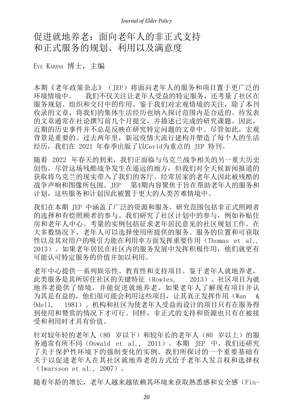## 促进就地养老:面向老年人的非正式支持 和正式服务的规划、利用以及满意度

Eva KAHANA 博士, 主编

本期《老年政策杂志》(JEP)将面向老年人的服务和项目置于更广泛的 环境情境中。 我们不仅关注让老年人受益的特定服务,还考量了社区在 服务规划、组织和交付中的作用。鉴于我们对宏观情境的关注,除了本刊 收录的文章,将我们的集体生活经历也纳入探讨范围内是合适的。待发表 的文章通常在社论撰写前几个月提交,并描述已完成的研究课题。因此, 近期的历史事件并不总是反映在研究特定问题的文章中。尽管如此,宏观 背景是重要的。过去两年里,新冠疫情大流行建构并塑造了每个人的生活 经历,我们在 2021 年春季出版了以Covid为重点的 JEP 特刊。

随着 2022 年春天的到来,我们正面临与乌克兰战争相关的另一重大历史 创伤。尽管这场残酷战争发生在遥远的地方,但我们对全天候新闻报道的 获取将乌克兰的现实带入了我们的客厅。经常居家的老年人因此被残酷的 战争声响和图像所包围。JEP 第4期内容聚焦于旨在帮助老年人的服务和 计划,这些服务和计划因此被置于更大的人类苦难情境中。

我们在本期 JEP 中涵盖了广泛的资源和服务。研究范围包括非正式照顾者 的选择和有偿照顾者的参与。我们研究了社区计划中的参与,例如补贴住 房和老年人中心。考量的实例包括征求老年居民意见的社区规划工作。在 大多数情况下,老年人可以选择使用所提供的服务。服务的位置和可获取 性以及其对用户的吸引力能在利用率方面发挥重要作用(Thomas et al., 2013)。如果老年居民在社区内的服务发展中发挥积极作用,他们就更有 可能认可特定服务的价值并加以利用。

老年中心提供一系列娱乐性、教育性和支持项目。鉴于老年人就地养老, 此类服务是其所居住社区的关键特征(Rowles, 2013)。社区项目为就 地养老提供了情境,并能促进就地养老。如果老年人了解现有项目并认 为其是有益的,他们很可能会利用这些项目,让其真正发挥作用(Wan & Odell, 1981)。机构和社区为使老年人受益而设计的项目只有在服务得 到使用和赞赏的情况下才可行。同样,非正式的支持和资源也只有在被接 受和利用时才具有价值。

针对较年轻的老年人(80 岁以下)和较年长的老年人(80 岁以上)的服 务通常有所不同(Oswald et al., 2011)。本期 JEP 中,我们还研究 了关于保护性环境下的强制变化的实例。我们所探讨的一个重要基础有 关于以促进老年人在其社区就地养老的方式给予老年人发言权和选择权 (Iwarsson et al., 2007)。

随着年龄的增长,老年人越来越依赖其环境来获取熟悉感和安全感(Fin-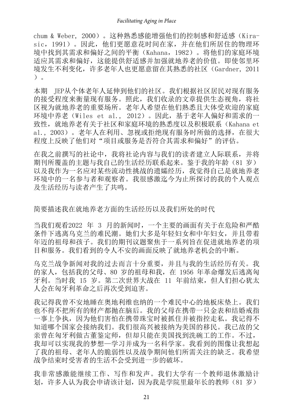chum & Weber, 2000)。这种熟悉感能增强他们的控制感和舒适感(Kirasic,1991)。因此,他们更愿意花时间在家,并在他们所居住的物理环 境中找到其需求和偏好之间的平衡(Kahana,1982)。将他们的家庭环境 适应其需求和偏好,这能提供舒适感并加强就地养老的价值。即使邻里环 境发生不利变化,许多老年人也更愿意留在其熟悉的社区(Gardner, 2011 )。

本期 JEP从个体老年人延伸到他们的社区。我们根据社区居民对现有服务 的接受程度来衡量现有服务。照此,我们收录的文章提供生态视角,将社 区视为就地养老的重要场所。老年人希望在他们熟悉且大体受欢迎的家庭 环境中养老(Wiles et al., 2012)。因此,基于老年人偏好和需求的一 致性, 就地养老有关于社区和家庭环境的熟悉度以及积极联系(Kahana et al., 2003)。老年人在利用、忽视或拒绝现有服务时所做的选择,在很大 程度上反映了他们对"项目或服务是否符合其需求和偏好"的评估。

在我之前撰写的社论中,我将社论内容与我们的读者建立人际联系,并将 期刊所覆盖的主题与我自己的生活经历联系起来。鉴于我的年龄(81 岁) 以及我作为一名应对某些流动性挑战的遗孀经历,我觉得自己是就地养老 环境中的一名参与者和观察者。我很感激迄今为止所探讨的我的个人观点 及生活经历与读者产生了共鸣。

简要描述我在就地养老方面的生活经历以及我们所处的时代

当我们观看2022 年 3 月的新闻时,一个主要的画面有关于在危险和严酷 条件下逃离乌克兰的难民潮。她们大多是年轻妇女和中年妇女,并且带着 年迈的祖母和孩子。我们的期刊议题聚焦于一系列旨在促进就地养老的项 目和服务。我们看到的令人不安的画面反映了就地养老机会的中断。

乌克兰战争新闻对我的过去而言十分重要,并且与我的生活经历有关。我 的家人,包括我的父母、80 岁的祖母和我,在 1956 年革命爆发后逃离匈 牙利。当时我 15 岁。第二次世界大战在 11 年前结束,但人们担心犹太 人会在匈牙利革命之后再次受到迫害。

我记得我曾不安地睡在奥地利维也纳的一个难民中心的地板床垫上。我们 也不得不把所有的财产都抛在脑后。我的父母在携带一只金表和结婚戒指 一事上争执,因为他们害怕在携带珠宝时被抓住并被指控走私。我记得不 知道哪个国家会接纳我们。我们很高兴被接纳为美国的移民。我已故的父 亲曾在匈牙利做古董鉴定师,但却只能在美国找到洗碗工的工作。不过, 我却可以实现我的梦想—学习并成为一名科学家。我看到的图像让我想起 了我的祖母、老年人的脆弱性以及战争期间他们所需关注的缺乏。我希望 战争结束时受害者的生活不会受到进一步的破坏。

我非常感激能继续工作、写作和发声。我们大学有一个教师退休激励计 划,许多人认为我会申请该计划,因为我是学院里最年长的教师(81 岁)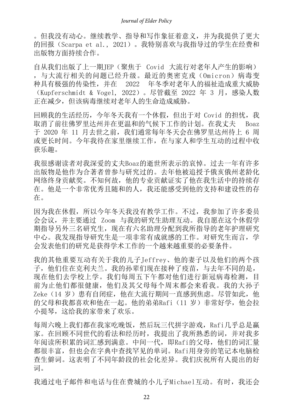。但我没有动心。继续教学、指导和写作象征着意义,并为我提供了更大 的回报(Scarpa et al., 2021)。我特别喜欢与我指导过的学生在经费和 出版物方面持续合作。

自从我们出版了上一期JEP(聚焦于 Covid 大流行对老年人产生的影响) ,与大流行相关的问题已经升级。最近的奥密克戎(Omicron)病毒变 种具有极强的传染性,并在 2022 年冬季对老年人的福祉造成重大威胁 (Kupferschmidt & Vogel, 2022)。尽管截至 2022 年 3 月,感染人数 正在减少,但该病毒继续对老年人的生命造成威胁。

回顾我的生活经历,今年冬天我有一个休假,但出于对 Covid 的担忧,我 取消了前往佛罗里达州并在更温和的气候下工作的计划。在我丈夫 Boaz 于 2020 年 11 月去世之前,我们通常每年冬天会在佛罗里达州待上 6 周 或更长时间。今年我待在家里继续工作,在与家人和学生互动的过程中收 获乐趣。

我很感谢读者对我深爱的丈夫Boaz的逝世所表示的哀悼。过去一年有许多 出版物是他作为合著者曾参与研究过的。去年他被追授予俄亥俄州老龄化 网络终身贡献奖。不知何故,他的专业贡献证实了他在我生活中的持续存 在。他是一个非常优秀且随和的人,我还能感受到他的支持和建设性的存 在。

因为我在休假,所以今年冬天我没有教学工作。不过,我参加了许多委员 会会议,并主要通过 Zoom 与我的研究生助理互动。我自愿在这个休假学 期指导另外三名研究生,现在有六名助理分配到我所指导的老年护理研究 中心。我发现指导研究生是一项非常有成就感的工作。对研究生而言,学 会发表他们的研究是获得学术工作的一个越来越重要的必要条件。

我的其他重要互动有关于我的儿子Jeffrey、他的妻子以及他们的两个孩 子,他们住在克利夫兰。我的孙辈们现在接种了疫苗,与去年不同的是, 现在他们去学校上学。我们每周五下午都对他们进行新冠病毒检测,目 前为止他们都很健康,他们及其父母每个周末都会来看我。我的大孙子 Zeke (14 岁)患有自闭症, 他在大流行期间一直感到焦虑。尽管如此, 他 的父母和我都喜欢和他在一起。他的弟弟Rafi (11 岁) 非常好学, 他会拉 小提琴,这给我的家带来了欢乐。

每周六晚上我们都在我家吃晚饭,然后玩三代拼字游戏,Rafi几乎总是赢 家。在回顾不同世代的看法和经历时,我提出了我所熟悉的词,并对我多 年阅读所积累的词汇感到满意。中间一代,即Rafi的父母,他们的词汇量 都很丰富,但也会在字典中查找罕见的单词。Rafi用身旁的笔记本电脑检 查生僻词。这表明了不同年龄段的社会化差异。我们庆祝所有人提出的好 词。

我通过电子邮件和电话与住在费城的小儿子Michael互动。有时,我还会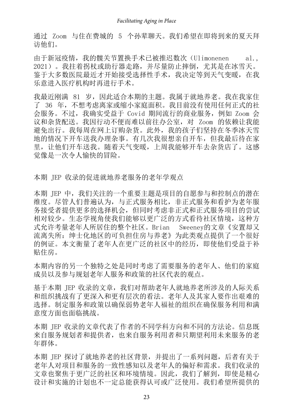通过 Zoom 与住在费城的 5 个孙辈聊天。我们希望在即将到来的夏天拜 访他们。

由于新冠疫情,我的髋关节置换手术已被推迟数次(Ulimonenen al., 2021)。我拄着拐杖或助行器走路,并尽量防止摔倒,尤其是在冰雪天。 鉴于大多数医院最近才开始接受选择性手术,我决定等到天气变暖,在我 乐意进入医疗机构时再进行手术。

我最近刚满 81 岁,因因此适合本期的主题。我属于就地养老。我在我家住 了 36 年,不想考虑离家或缩小家庭面积。我目前没有使用任何正式的社 会服务。不过,我确实受益于 Covid 期间流行的商业服务,例如 Zoom 会 议和杂货配送。我因行动不便而难以前往办公室,对 Zoom 的依赖让我能 避免出行。我每周在网上订购杂货。此外,我的孩子们坚持在冬季冰天雪 地的情况下开车送我办理杂事。有几次我很想亲自开车,但我最后待在家 里,让他们开车送我。随着天气变暖,上周我能够开车去杂货店了。这感 觉像是一次令人愉快的冒险。

本期 JEP 收录的促进就地养老服务的老年学观点

本期 JEP 中, 我们关注的一个重要主题是项目的自愿参与和控制点的潜在 维度。尽管人们普遍认为,与正式服务相比,非正式服务和看护为老年服 务接受者提供更多的选择机会,但同时考虑非正式和正式服务项目的尝试 相对较少。生态学视角使我们能够以更广泛的方式看待社区情境,这种方 式允许考量老年人所居住的整个社区。Brian Sweeney的文章《安置却又 流离失所: 绅士化地区的可负担住房与养老》为此类观点提供了一个很好 的例证。本文衡量了老年人在更广泛的社区中的经历,即使他们受益于补 贴住房。

本期内容的另一个独特之处是同时考虑了需要服务的老年人、他们的家庭 成员以及参与规划老年人服务和政策的社区代表的观点。

基于本期 JEP 收录的文章, 我们对帮助老年人就地养老所涉及的人际关系 和组织挑战有了更深入和更有层次的看法。老年人及其家人要作出艰难的 选择。制定服务和政策以确保弱势老年人福祉的组织在确保服务利用和满 意度方面也面临挑战。

本期 JEP 收录的文章代表了作者的不同学科方向和不同的方法论。信息既 来自服务规划者和提供者,也来自服务利用者和只期望利用未来服务的老 年群体。

本期 JEP 探讨了就地养老的社区背景,并提出了一系列问题,后者有关于 老年人对项目和服务的一致性感知以及老年人的偏好和需求。我们收录的 文章也聚焦于更广泛的社区和环境情境。因此,我们了解到,即使是精心 设计和实施的计划也不一定总能获得认可或广泛使用。我们希望所提供的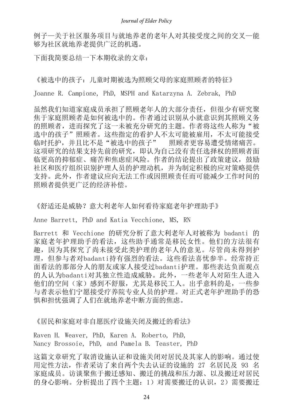例子—关于社区服务项目与就地养老的老年人对其接受度之间的交叉—能 够为社区就地养老提供广泛的机遇。

下面我简要总结一下本期收录的文章:

《被选中的孩子:儿童时期被选为照顾父母的家庭照顾者的特征》

Joanne R. Campione, PhD, MSPH and Katarzyna A. Zebrak, PhD

虽然我们知道家庭成员承担了照顾老年人的大部分责任,但很少有研究聚 焦于家庭照顾者是如何被选中的。作者通过识别从小就意识到其照顾义务 的照顾者,进而探究了这一未被充分研究的主题。作者将这些人称为"被 选中的孩子"照顾者。这些指定的看护人不太可能被雇用,不太可能接受 临时托护,并且比不是"被选中的孩子" 照顾者更容易遭受情绪痛苦。 这项研究的结果支持先前的研究,即认为自己没有责任选择权的照顾者面 临更高的抑郁症、痛苦和焦虑症风险。作者的结论提出了政策建议,鼓励 社区和医疗组织识别护理人员的护理动机,并为制定积极的应对策略提供 支持。此外,作者建议应向无法工作或因照顾责任而可能减少工作时间的 照顾者提供更广泛的经济补偿。

《舒适还是威胁?意大利老年人如何看待家庭老年护理助手》

Anne Barrett, PhD and Katia Vecchione, MS, RN

Barrett 和 Vecchione 的研究分析了意大利老年人对被称为 badanti 的 家庭老年护理助手的看法,这些助手通常是移民女性。他们的方法很有 趣,因为其探究了尚未接受此类护理的老年人的意见。尽管尚未得到护 理,但参与者对badanti持有强烈的看法。这些看法喜忧参半。经常持正 面看法的那部分人的朋友或家人接受过badanti护理。那些表达负面观点 的人认为badanti对其独立性造成威胁。此外,一些老年人对陌生人进入 他们的空间(家)感到不舒服,尤其是移民工人。出乎意料的是,一些参 与者表示他们宁愿接受疗养院专业人员的护理。对正式老年护理助手的恐 惧和担忧强调了人们在就地养老中断方面的焦虑。

《居民和家庭对非自愿医疗设施关闭及搬迁的看法》

Raven H. Weaver, PhD, Karen A. Roberto, PhD, Nancy Brossoie, PhD, and Pamela B. Teaster, PhD

这篇文章研究了取消设施认证和设施关闭对居民及其家人的影响。通过使 用定性方法,作者采访了来自两个失去认证的设施的 27 名居民及 93 名 家庭成员。访谈聚焦于搬迁感知、搬迁的挑战和压力源、以及搬迁对居民 的身心影响。分析提出了四个主题:1)对需要搬迁的认识,2)需要搬迁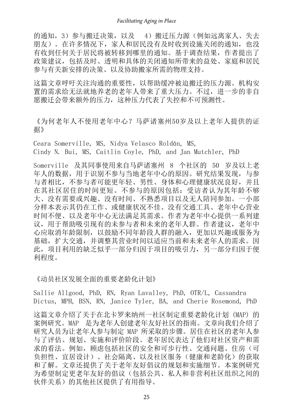的通知,3)参与搬迁决策,以及 4)搬迁压力源(例如远离家人、失去 朋友)。在许多情况下,家人和居民没有及时收到设施关闭的通知,也没 有收到任何关于居民将被转移到哪里的通知。基于调查结果,作者提出了 政策建议,包括及时、透明和具体的关闭通知所带来的益处、家庭和居民 参与有关新安排的决策、以及协助搬家所需的物理支持。

这篇文章呼吁关注沟通的重要性,以帮助缓冲被迫搬迁的压力源。机构安 置的需求给无法就地养老的老年人带来了重大压力。不过,进一步的非自 愿搬迁会带来额外的压力,这种压力代表了失控和不可预测性。

《为何老年人不使用老年中心?马萨诸塞州50岁及以上老年人提供的证 据》

Ceara Somerville, MS, Nidya Velasco Roldán, MS, Cindy N. Bui, MS, Caitlin Coyle, PhD, and Jan Mutchler, PhD

Somerville 及其同事使用来自马萨诸塞州 8 个社区的 50 岁及以上老 年人的数据,用于识别不参与当地老年中心的原因。研究结果发现,与参 与者相比,不参与者可能更年轻、男性、身体和心理健康状况良好,并且 在其社区居住的时间更短。不参与的原因包括:受访者认为其年龄不够 大、没有需要或兴趣、没有时间、不熟悉项目以及无人陪同参加。一小部 分样本表示其仍在工作、或健康状况不佳、没有交通工具、老年中心营业 时间不便、以及老年中心无法满足其需求。作者为老年中心提供一系列建 议,用于帮助吸引现有的未参与者和未来的老年人群。作者建议,老年中 心应取消年龄限制,以鼓励不同年龄段人群的融入,更加以兴趣或服务为 基础,扩大交通,并调整其营业时间以适应当前和未来老年人的需求。因 此,项目利用的缺乏似乎一部分归因于项目的吸引力,另一部分归因于便 利程度。

《动员社区发展全面的重要老龄化计划》

Sallie Allgood, PhD, RN, Ryan Lavalley, PhD, OTR/L, Cassandra Dictus, MPH, BSN, RN, Janice Tyler, BA, and Cherie Rosemond, PhD

这篇文章介绍了关于在北卡罗来纳州一社区制定重要老龄化计划 (MAP) 的 案例研究。MAP 是为老年人创建老年友好社区的指南。文章向我们介绍了 研究人员为让老年人参与制定 MAP 所采取的步骤。居住在社区的老年人参 与了评估、规划、实施和评价阶段。老年居民表达了他们对社区资产和需 求的看法。例如, 顾虑包括社区的安全和可步行性、交通问题、住房(可 负担性、宜居设计)、社会隔离、以及社区服务(健康和老龄化)的获取 和了解。文章还提供了关于老年友好倡议的规划和实施细节。本案例研究 为希望制定更老年友好的倡议(包括公共、私人和非营利社区组织之间的 伙伴关系)的其他社区提供了有用指导。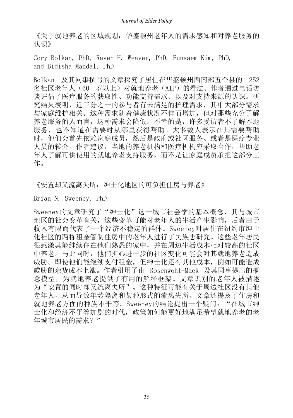《关于就地养老的区域规划:华盛顿州老年人的需求感知和对养老服务的 认识》

Cory Bolkan, PhD, Raven H. Weaver, PhD, Eunsaem Kim, PhD, and Bidisha Mandal, PhD

Bolkan 及其同事撰写的文章探究了居住在华盛顿州西南部五个县的 252 名社区老年人(60 岁以上)对就地养老(AIP)的看法。作者通过电话访 谈评估了医疗服务的获取性、功能支持需求、以及对支持来源的认识。研 究结果表明,近三分之一的参与者有未满足的护理需求,其中大部分需求 与家庭维护相关。这种需求随着健康状况不佳而增加,但对那些充分了解 养老服务的人而言,这种需求会降低。不幸的是,许多受访者不了解本地 服务,也不知道在需要时从哪里获得帮助。大多数人表示在其需要帮助 时,他们会首先依赖家庭成员,然后是政府或社区服务、或者是医疗专业 人员的转介。作者建议,当地的养老机构和医疗机构应采取合作,帮助老 年人了解可供使用的就地养老支持服务,而不是让家庭成员承担这部分工 作。

《安置却又流离失所: 绅士化地区的可负担住房与养老》

Brian N. Sweeney, PhD

Sweeney的文章研究了"绅士化"这一城市社会学的基本概念, 其与城市 地区的社会变革有关,这些变革可能对老年人的生活产生影响,后者由于 收入有限而代表了一个经济不稳定的群体。Sweeney对居住在纽约市绅士 化社区的两栋租金管制住房中的老年人进行了民族志研究。这些老年居民 很感激其能继续住在他们熟悉的家中,并在周边生活成本相对较高的社区 中养老。与此同时,他们担心进一步的社区变化可能会对其就地养老造成 威胁。即使他们能继续支付租金,但绅士化还有其他成本,例如可能造成 威胁的杂货成本上涨。作者引用了由 Rosenwohl-Mack 及其同事提出的概 念模型,为就地养老提供了有用的解释框架。文章识别的老年人被描述 为"安置的同时却又流离失所"。这种特征可能有关于周边社区没有其他 老年人,从而导致年龄隔离和某种形式的流离失所。文章还提及了住房和 就地养老方面的种族不平等。Sweeney的结论提出一个疑问: "在城市绅 士化和经济不平等加剧的时代,政策如何能更好地满足希望就地养老的老 年城市居民的需求?"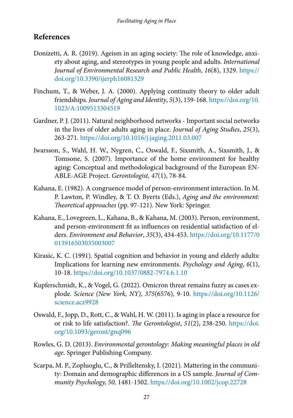### **References**

- Donizetti, A. R. (2019). Ageism in an aging society: The role of knowledge, anxiety about aging, and stereotypes in young people and adults. *International Journal of Environmental Research and Public Health*, *16*(8), 1329. [https://](https://doi.org/10.3390/ijerph16081329) [doi.org/10.3390/ijerph16081329](https://doi.org/10.3390/ijerph16081329)
- Finchum, T., & Weber, J. A. (2000). Applying continuity theory to older adult friendships. *Journal of Aging and Identity*, *5*(3), 159-168. [https://doi.org/10.](https://doi.org/10.1023/A:1009513304519) [1023/A:1009513304519](https://doi.org/10.1023/A:1009513304519)
- Gardner, P. J. (2011). Natural neighborhood networks Important social networks in the lives of older adults aging in place. *Journal of Aging Studies*, *25*(3), 263-271. <https://doi.org/10.1016/j.jaging.2011.03.007>
- Iwarsson, S., Wahl, H. W., Nygren, C., Oswald, F., Sixsmith, A., Sixsmith, J., & Tomsone, S. (2007). Importance of the home environment for healthy aging: Conceptual and methodological background of the European EN-ABLE-AGE Project. *Gerontologist, 47*(1), 78-84.
- Kahana, E. (1982). A congruence model of person-environment interaction. In M. P. Lawton, P. Windley, & T. O. Byerts (Eds.), *Aging and the environment: Theoretical approaches* (pp. 97-121). New York: Springer.
- Kahana, E., Lovegreen, L., Kahana, B., & Kahana, M. (2003). Person, environment, and person-environment fit as influences on residential satisfaction of elders. *Environment and Behavior*, *35*(3), 434-453. [https://doi.org/10.1177/0](https://doi.org/10.1177/0013916503035003007) [013916503035003007](https://doi.org/10.1177/0013916503035003007)
- Kirasic, K. C. (1991). Spatial cognition and behavior in young and elderly adults: Implications for learning new environments. *Psychology and Aging*, *6*(1), 10-18.<https://doi.org/10.1037/0882-7974.6.1.10>
- Kupferschmidt, K., & Vogel, G. (2022). Omicron threat remains fuzzy as cases explode. *Science (New York, NY)*, *375*(6576), 9-10. [https://doi.org/10.1126/](https://doi.org/10.1126/science.acz9928) [science.acz9928](https://doi.org/10.1126/science.acz9928)
- Oswald, F., Jopp, D., Rott, C., & Wahl, H. W. (2011). Is aging in place a resource for or risk to life satisfaction?. *The Gerontologist*, *51*(2), 238-250. [https://doi.](https://doi.org/10.1093/geront/gnq096) [org/10.1093/geront/gnq096](https://doi.org/10.1093/geront/gnq096)
- Rowles, G. D. (2013). *Environmental gerontology: Making meaningful places in old age.* Springer Publishing Company.
- Scarpa, M. P., Zopluoglu, C., & Prilleltensky, I. (2021). Mattering in the community: Domain and demographic differences in a US sample. *Journal of Community Psychology, 50,* 1481-1502. <https://doi.org/10.1002/jcop.22728>